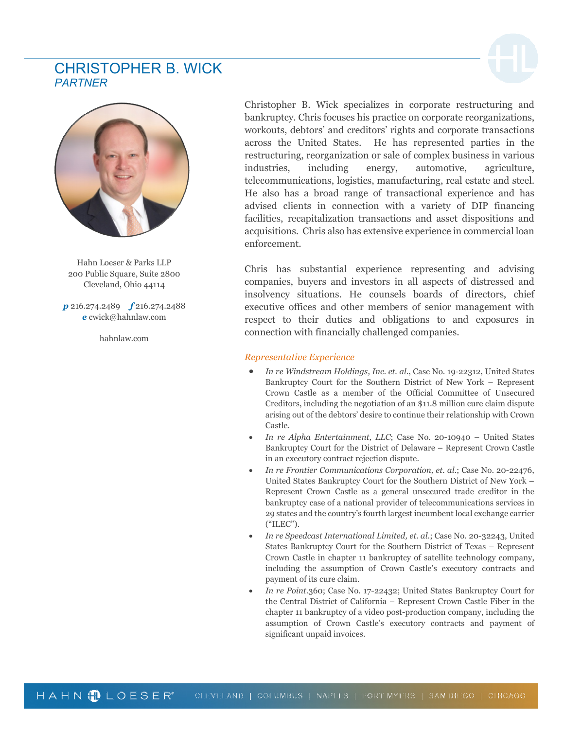## CHRISTOPHER B. WICK *PARTNER*



Hahn Loeser & Parks LLP 200 Public Square, Suite 2800 Cleveland, Ohio 44114

*p* 216.274.2489 *f* 216.274.2488 *e* cwick@hahnlaw.com

hahnlaw.com

Christopher B. Wick specializes in corporate restructuring and bankruptcy. Chris focuses his practice on corporate reorganizations, workouts, debtors' and creditors' rights and corporate transactions across the United States. He has represented parties in the restructuring, reorganization or sale of complex business in various industries, including energy, automotive, agriculture, telecommunications, logistics, manufacturing, real estate and steel. He also has a broad range of transactional experience and has advised clients in connection with a variety of DIP financing facilities, recapitalization transactions and asset dispositions and acquisitions. Chris also has extensive experience in commercial loan enforcement.

Chris has substantial experience representing and advising companies, buyers and investors in all aspects of distressed and insolvency situations. He counsels boards of directors, chief executive offices and other members of senior management with respect to their duties and obligations to and exposures in connection with financially challenged companies.

## *Representative Experience*

- *In re Windstream Holdings, Inc. et. al.*, Case No. 19-22312, United States Bankruptcy Court for the Southern District of New York – Represent Crown Castle as a member of the Official Committee of Unsecured Creditors, including the negotiation of an \$11.8 million cure claim dispute arising out of the debtors' desire to continue their relationship with Crown Castle.
- *In re Alpha Entertainment, LLC*; Case No. 20-10940 United States Bankruptcy Court for the District of Delaware – Represent Crown Castle in an executory contract rejection dispute.
- *In re Frontier Communications Corporation, et. al.*; Case No. 20-22476, United States Bankruptcy Court for the Southern District of New York – Represent Crown Castle as a general unsecured trade creditor in the bankruptcy case of a national provider of telecommunications services in 29 states and the country's fourth largest incumbent local exchange carrier ("ILEC").
- *In re Speedcast International Limited, et. al.*; Case No. 20-32243, United States Bankruptcy Court for the Southern District of Texas – Represent Crown Castle in chapter 11 bankruptcy of satellite technology company, including the assumption of Crown Castle's executory contracts and payment of its cure claim.
- *In re Point.*360; Case No. 17-22432; United States Bankruptcy Court for the Central District of California – Represent Crown Castle Fiber in the chapter 11 bankruptcy of a video post-production company, including the assumption of Crown Castle's executory contracts and payment of significant unpaid invoices.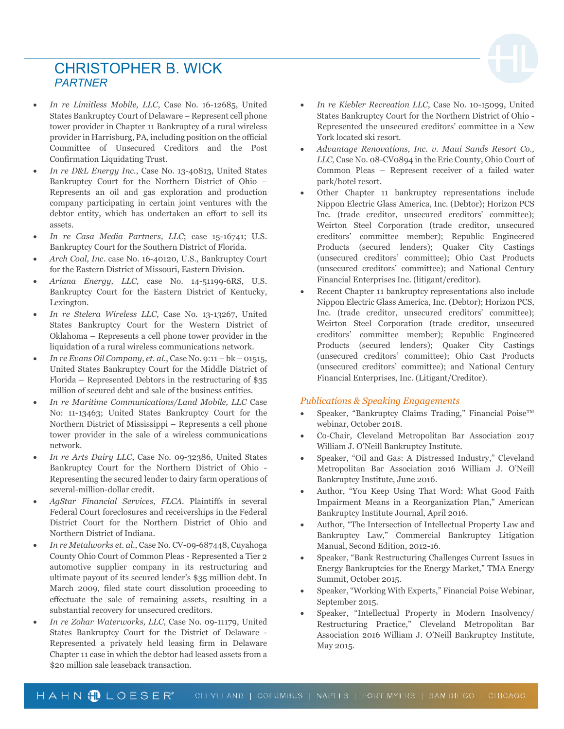## CHRISTOPHER B. WICK *PARTNER*

- *In re Limitless Mobile, LLC*, Case No. 16-12685, United States Bankruptcy Court of Delaware – Represent cell phone tower provider in Chapter 11 Bankruptcy of a rural wireless provider in Harrisburg, PA, including position on the official Committee of Unsecured Creditors and the Post Confirmation Liquidating Trust.
- *In re D&L Energy Inc.*, Case No. 13-40813, United States Bankruptcy Court for the Northern District of Ohio – Represents an oil and gas exploration and production company participating in certain joint ventures with the debtor entity, which has undertaken an effort to sell its assets.
- *In re Casa Media Partners, LLC*; case 15-16741; U.S. Bankruptcy Court for the Southern District of Florida.
- *Arch Coal, Inc*. case No. 16-40120, U.S., Bankruptcy Court for the Eastern District of Missouri, Eastern Division.
- *Ariana Energy, LLC*, case No. 14-51199-6RS, U.S. Bankruptcy Court for the Eastern District of Kentucky, Lexington.
- *In re Stelera Wireless LLC*, Case No. 13-13267, United States Bankruptcy Court for the Western District of Oklahoma – Represents a cell phone tower provider in the liquidation of a rural wireless communications network.
- *In re Evans Oil Company, et. al*., Case No. 9:11 bk 01515, United States Bankruptcy Court for the Middle District of Florida – Represented Debtors in the restructuring of \$35 million of secured debt and sale of the business entities.
- *In re Maritime Communications/Land Mobile, LLC* Case No: 11-13463; United States Bankruptcy Court for the Northern District of Mississippi – Represents a cell phone tower provider in the sale of a wireless communications network.
- *In re Arts Dairy LLC*, Case No. 09-32386, United States Bankruptcy Court for the Northern District of Ohio - Representing the secured lender to dairy farm operations of several-million-dollar credit.
- *AgStar Financial Services, FLCA*. Plaintiffs in several Federal Court foreclosures and receiverships in the Federal District Court for the Northern District of Ohio and Northern District of Indiana.
- *In re Metalworks et. al*., Case No. CV-09-687448, Cuyahoga County Ohio Court of Common Pleas - Represented a Tier 2 automotive supplier company in its restructuring and ultimate payout of its secured lender's \$35 million debt. In March 2009, filed state court dissolution proceeding to effectuate the sale of remaining assets, resulting in a substantial recovery for unsecured creditors.
- *In re Zohar Waterworks, LLC*, Case No. 09-11179, United States Bankruptcy Court for the District of Delaware - Represented a privately held leasing firm in Delaware Chapter 11 case in which the debtor had leased assets from a \$20 million sale leaseback transaction.
- *In re Kiebler Recreation LLC*, Case No. 10-15099, United States Bankruptcy Court for the Northern District of Ohio - Represented the unsecured creditors' committee in a New York located ski resort.
- *Advantage Renovations, Inc. v. Maui Sands Resort Co., LLC*, Case No. 08-CV0894 in the Erie County, Ohio Court of Common Pleas – Represent receiver of a failed water park/hotel resort.
- Other Chapter 11 bankruptcy representations include Nippon Electric Glass America, Inc. (Debtor); Horizon PCS Inc. (trade creditor, unsecured creditors' committee); Weirton Steel Corporation (trade creditor, unsecured creditors' committee member); Republic Engineered Products (secured lenders); Quaker City Castings (unsecured creditors' committee); Ohio Cast Products (unsecured creditors' committee); and National Century Financial Enterprises Inc. (litigant/creditor).
- Recent Chapter 11 bankruptcy representations also include Nippon Electric Glass America, Inc. (Debtor); Horizon PCS, Inc. (trade creditor, unsecured creditors' committee); Weirton Steel Corporation (trade creditor, unsecured creditors' committee member); Republic Engineered Products (secured lenders); Quaker City Castings (unsecured creditors' committee); Ohio Cast Products (unsecured creditors' committee); and National Century Financial Enterprises, Inc. (Litigant/Creditor).

## *Publications & Speaking Engagements*

- Speaker, "Bankruptcy Claims Trading," Financial Poise™ webinar, October 2018.
- Co-Chair, Cleveland Metropolitan Bar Association 2017 William J. O'Neill Bankruptcy Institute.
- Speaker, "Oil and Gas: A Distressed Industry," Cleveland Metropolitan Bar Association 2016 William J. O'Neill Bankruptcy Institute, June 2016.
- Author, "You Keep Using That Word: What Good Faith Impairment Means in a Reorganization Plan," American Bankruptcy Institute Journal, April 2016.
- Author, "The Intersection of Intellectual Property Law and Bankruptcy Law," Commercial Bankruptcy Litigation Manual, Second Edition, 2012-16.
- Speaker, "Bank Restructuring Challenges Current Issues in Energy Bankruptcies for the Energy Market," TMA Energy Summit, October 2015.
- Speaker, "Working With Experts," Financial Poise Webinar, September 2015.
- Speaker, "Intellectual Property in Modern Insolvency/ Restructuring Practice," Cleveland Metropolitan Bar Association 2016 William J. O'Neill Bankruptcy Institute, May 2015.